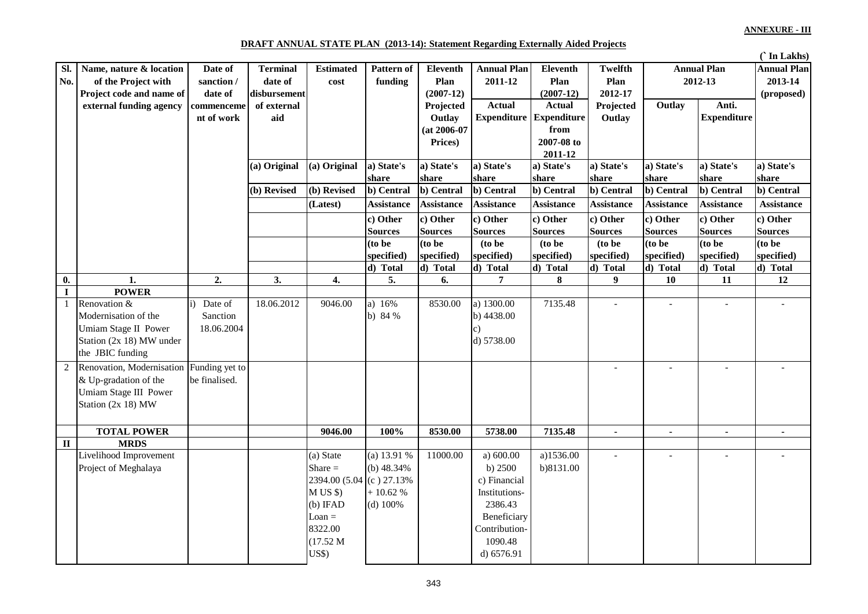## **DRAFT ANNUAL STATE PLAN (2013-14): Statement Regarding Externally Aided Projects**

|             |                           |                |                 |                                   |                     |                     |                            |                           |                             |                     |                              | ('In Lakhs)         |
|-------------|---------------------------|----------------|-----------------|-----------------------------------|---------------------|---------------------|----------------------------|---------------------------|-----------------------------|---------------------|------------------------------|---------------------|
| SI.         | Name, nature & location   | Date of        | <b>Terminal</b> | <b>Estimated</b>                  | <b>Pattern of</b>   | <b>Eleventh</b>     | <b>Annual Plan</b>         | <b>Eleventh</b>           | Twelfth                     |                     | <b>Annual Plan</b>           | <b>Annual Plan</b>  |
| No.         | of the Project with       | sanction /     | date of         | cost                              | funding             | Plan                | 2011-12                    | Plan                      | Plan                        |                     | 2012-13                      | 2013-14             |
|             | Project code and name of  | date of        | disbursement    |                                   |                     | $(2007-12)$         |                            | $(2007-12)$               | 2012-17                     |                     |                              | (proposed)          |
|             | external funding agency   | commenceme     | of external     |                                   |                     | Projected           | <b>Actual</b>              | Actual                    | Projected                   | Outlay              | Anti.                        |                     |
|             |                           | nt of work     | aid             |                                   |                     | Outlay              | <b>Expenditure</b>         | <b>Expenditure</b>        | Outlay                      |                     | <b>Expenditure</b>           |                     |
|             |                           |                |                 |                                   |                     | $(at 2006-07)$      |                            | from                      |                             |                     |                              |                     |
|             |                           |                |                 |                                   |                     | Prices)             |                            | 2007-08 to                |                             |                     |                              |                     |
|             |                           |                |                 |                                   |                     |                     |                            | 2011-12                   |                             |                     |                              |                     |
|             |                           |                | (a) Original    | (a) Original                      | a) State's<br>share | a) State's<br>share | a) State's<br>share        | a) State's<br>share       | a) State's<br>share         | a) State's<br>share | a) State's<br>share          | a) State's<br>share |
|             |                           |                | (b) Revised     | $\overline{(\mathbf{b})}$ Revised | b) Central          | b) Central          | b) Central                 | b) Central                | b) Central                  | b) Central          | b) Central                   | b) Central          |
|             |                           |                |                 |                                   |                     | <b>Assistance</b>   |                            |                           |                             |                     |                              |                     |
|             |                           |                |                 | (Latest)                          | <b>Assistance</b>   |                     | <b>Assistance</b>          | <b>Assistance</b>         | <b>Assistance</b>           | <b>Assistance</b>   | <b>Assistance</b>            | <b>Assistance</b>   |
|             |                           |                |                 |                                   | c) Other            | c) Other            | c) Other                   | c) Other                  | c) Other                    | c) Other            | c) Other                     | c) Other            |
|             |                           |                |                 |                                   | <b>Sources</b>      | <b>Sources</b>      | <b>Sources</b>             | <b>Sources</b>            | <b>Sources</b>              | <b>Sources</b>      | <b>Sources</b>               | <b>Sources</b>      |
|             |                           |                |                 |                                   | (to be              | (to be              | (to be                     | (to be                    | (to be                      | $($ to be           | (to be                       | (to be              |
|             |                           |                |                 |                                   | specified)          | specified)          | specified)                 | specified)                | specified)                  | specified)          | specified)                   | specified)          |
| 0.          | $\mathbf{1}$              | 2.             | 3.              | 4.                                | d) Total<br>5.      | d) Total<br>6.      | d) Total<br>$\overline{7}$ | $\overline{d}$ Total<br>8 | $\overline{d}$ ) Total<br>9 | d) Total<br>10      | $\overline{d}$ ) Total<br>11 | d) Total<br>12      |
| $\mathbf I$ | <b>POWER</b>              |                |                 |                                   |                     |                     |                            |                           |                             |                     |                              |                     |
| 1           | Renovation &              | Date of        | 18.06.2012      | 9046.00                           | a) 16%              | 8530.00             | a) 1300.00                 | 7135.48                   | $\overline{a}$              |                     | $\overline{a}$               |                     |
|             | Modernisation of the      | Sanction       |                 |                                   | b) 84 %             |                     | b) 4438.00                 |                           |                             |                     |                              |                     |
|             | Umiam Stage II Power      | 18.06.2004     |                 |                                   |                     |                     | c)                         |                           |                             |                     |                              |                     |
|             | Station (2x 18) MW under  |                |                 |                                   |                     |                     | d) 5738.00                 |                           |                             |                     |                              |                     |
|             | the JBIC funding          |                |                 |                                   |                     |                     |                            |                           |                             |                     |                              |                     |
|             | Renovation, Modernisation | Funding yet to |                 |                                   |                     |                     |                            |                           | $\overline{a}$              | $\overline{a}$      | $\sim$                       |                     |
|             | & Up-gradation of the     | be finalised.  |                 |                                   |                     |                     |                            |                           |                             |                     |                              |                     |
|             | Umiam Stage III Power     |                |                 |                                   |                     |                     |                            |                           |                             |                     |                              |                     |
|             | Station (2x 18) MW        |                |                 |                                   |                     |                     |                            |                           |                             |                     |                              |                     |
|             |                           |                |                 |                                   |                     |                     |                            |                           |                             |                     |                              |                     |
|             | <b>TOTAL POWER</b>        |                |                 | 9046.00                           | 100%                | 8530.00             | 5738.00                    | 7135.48                   | $\blacksquare$              | $\sim$              | $\sim$                       | $\blacksquare$      |
| $\rm II$    | <b>MRDS</b>               |                |                 |                                   |                     |                     |                            |                           |                             |                     |                              |                     |
|             | Livelihood Improvement    |                |                 | (a) State                         | (a) $13.91%$        | 11000.00            | a) $600.00$                | a)1536.00                 | $\mathbf{r}$                | $\overline{a}$      | $\overline{a}$               |                     |
|             | Project of Meghalaya      |                |                 | Share $=$                         | (b) $48.34\%$       |                     | b) $2500$                  | b)8131.00                 |                             |                     |                              |                     |
|             |                           |                |                 | 2394.00 (5.04 (c) 27.13%          |                     |                     | c) Financial               |                           |                             |                     |                              |                     |
|             |                           |                |                 | M US \$                           | $+10.62%$           |                     | Institutions-              |                           |                             |                     |                              |                     |
|             |                           |                |                 | $(b)$ IFAD                        | $(d)$ 100%          |                     | 2386.43                    |                           |                             |                     |                              |                     |
|             |                           |                |                 | $\text{LOan} =$                   |                     |                     | Beneficiary                |                           |                             |                     |                              |                     |
|             |                           |                |                 | 8322.00                           |                     |                     | Contribution-              |                           |                             |                     |                              |                     |
|             |                           |                |                 | (17.52 M)                         |                     |                     | 1090.48                    |                           |                             |                     |                              |                     |
|             |                           |                |                 | <b>US\$</b> )                     |                     |                     | d) 6576.91                 |                           |                             |                     |                              |                     |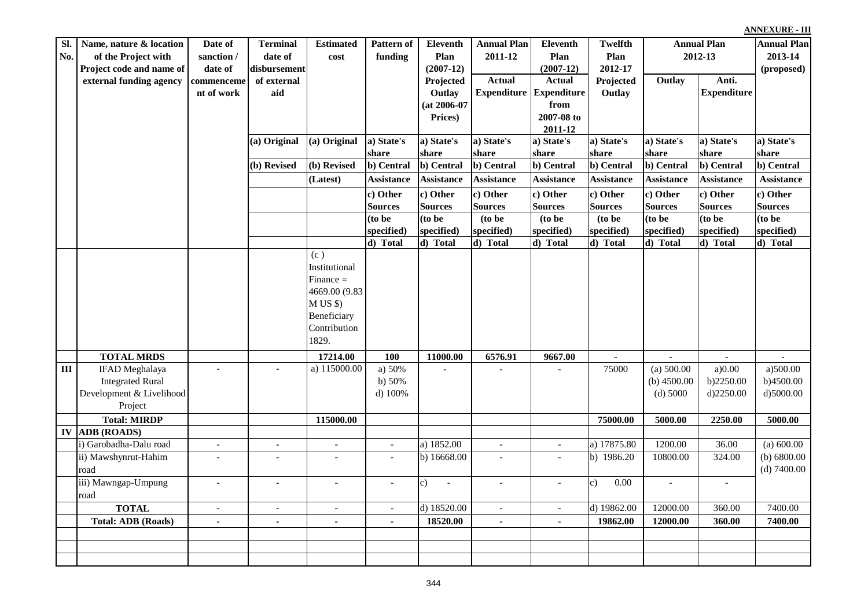| Sl.        | Name, nature & location                          | Date of                  | <b>Terminal</b>          | <b>Estimated</b>         | Pattern of               | <b>Eleventh</b>   | <b>Annual Plan</b>       | Eleventh                 | Twelfth                | <b>Annual Plan</b> |                    | <b>Annual Plan</b>    |
|------------|--------------------------------------------------|--------------------------|--------------------------|--------------------------|--------------------------|-------------------|--------------------------|--------------------------|------------------------|--------------------|--------------------|-----------------------|
| No.        | of the Project with                              | sanction /               | date of                  | cost                     | funding                  | Plan              | 2011-12                  | Plan                     | Plan                   | 2012-13            |                    | 2013-14               |
|            | Project code and name of                         | date of                  | disbursement             |                          |                          | $(2007-12)$       |                          | $(2007-12)$              | 2012-17                |                    |                    | (proposed)            |
|            | external funding agency                          | commenceme               | of external              |                          |                          | Projected         | <b>Actual</b>            | <b>Actual</b>            | Projected              | Outlay             | Anti.              |                       |
|            |                                                  | nt of work               | aid                      |                          |                          | Outlay            | <b>Expenditure</b>       | <b>Expenditure</b>       | Outlay                 |                    | <b>Expenditure</b> |                       |
|            |                                                  |                          |                          |                          |                          | $(at 2006-07)$    |                          | from                     |                        |                    |                    |                       |
|            |                                                  |                          |                          |                          |                          | Prices)           |                          | 2007-08 to<br>2011-12    |                        |                    |                    |                       |
|            |                                                  |                          | (a) Original             | (a) Original             | a) State's               | a) State's        | a) State's               | a) State's               | a) State's             | a) State's         | a) State's         | a) State's            |
|            |                                                  |                          |                          |                          | share                    | share             | share                    | share                    | share                  | share              | share              | share                 |
|            |                                                  |                          | (b) Revised              | (b) Revised              | b) Central               | b) Central        | b) Central               | b) Central               | b) Central             | b) Central         | b) Central         | b) Central            |
|            |                                                  |                          |                          | (Latest)                 | <b>Assistance</b>        | <b>Assistance</b> | <b>Assistance</b>        | <b>Assistance</b>        | <b>Assistance</b>      | <b>Assistance</b>  | <b>Assistance</b>  | <b>Assistance</b>     |
|            |                                                  |                          |                          |                          | c) Other                 | c) Other          | c) Other                 | c) Other                 | c) Other               | c) Other           | c) Other           | c) Other              |
|            |                                                  |                          |                          |                          | <b>Sources</b>           | <b>Sources</b>    | Sources                  | <b>Sources</b>           | <b>Sources</b>         | <b>Sources</b>     | <b>Sources</b>     | <b>Sources</b>        |
|            |                                                  |                          |                          |                          | (to be                   | (to be            | (to be                   | (to be                   | (to be                 | $($ to be          | (to be             | (to be                |
|            |                                                  |                          |                          |                          | specified)               | specified)        | specified)               | specified)               | specified)             | specified)         | specified)         | specified)            |
|            |                                                  |                          |                          |                          | d) Total                 | d) Total          | d) Total                 | d) Total                 | d) Total               | d) Total           | d) Total           | d) Total              |
|            |                                                  |                          |                          | (c)                      |                          |                   |                          |                          |                        |                    |                    |                       |
|            |                                                  |                          |                          | Institutional            |                          |                   |                          |                          |                        |                    |                    |                       |
|            |                                                  |                          |                          | $Finance =$              |                          |                   |                          |                          |                        |                    |                    |                       |
|            |                                                  |                          |                          | 4669.00 (9.83            |                          |                   |                          |                          |                        |                    |                    |                       |
|            |                                                  |                          |                          | M US \$<br>Beneficiary   |                          |                   |                          |                          |                        |                    |                    |                       |
|            |                                                  |                          |                          | Contribution             |                          |                   |                          |                          |                        |                    |                    |                       |
|            |                                                  |                          |                          | 1829.                    |                          |                   |                          |                          |                        |                    |                    |                       |
|            |                                                  |                          |                          |                          |                          |                   |                          |                          |                        |                    |                    |                       |
|            | <b>TOTAL MRDS</b>                                |                          |                          | 17214.00                 | 100                      | 11000.00          | 6576.91                  | 9667.00                  |                        |                    | $\overline{a}$     |                       |
| III        | <b>IFAD</b> Meghalaya<br><b>Integrated Rural</b> |                          |                          | a) 115000.00             | a) 50%                   |                   |                          |                          | 75000                  | (a) 500.00         | a)0.00             | a)500.00<br>b)4500.00 |
|            | Development & Livelihood                         |                          |                          |                          | b) $50%$<br>d) $100%$    |                   |                          |                          |                        | (b) $4500.00$      | b)2250.00          | d)5000.00             |
|            | Project                                          |                          |                          |                          |                          |                   |                          |                          |                        | $(d)$ 5000         | d)2250.00          |                       |
|            | <b>Total: MIRDP</b>                              |                          |                          | 115000.00                |                          |                   |                          |                          | 75000.00               | 5000.00            | 2250.00            | 5000.00               |
| ${\bf IV}$ | <b>ADB</b> (ROADS)                               |                          |                          |                          |                          |                   |                          |                          |                        |                    |                    |                       |
|            | i) Garobadha-Dalu road                           | $\overline{\phantom{a}}$ | $\overline{\phantom{a}}$ | $\sim$                   | $\overline{\phantom{a}}$ | a) 1852.00        | $\sim$                   | $\overline{\phantom{a}}$ | a) 17875.80            | 1200.00            | 36.00              | (a) 600.00            |
|            | ii) Mawshynrut-Hahim                             | $\overline{\phantom{a}}$ | $\blacksquare$           | $\overline{\phantom{a}}$ | $\overline{\phantom{a}}$ | b) 16668.00       | $\overline{\phantom{a}}$ | $\overline{a}$           | b) 1986.20             | 10800.00           | 324.00             | (b) $6800.00$         |
|            | road                                             |                          |                          |                          |                          |                   |                          |                          |                        |                    |                    | $(d)$ 7400.00         |
|            | iii) Mawngap-Umpung                              | $\overline{a}$           |                          |                          |                          | c)                | $\overline{\phantom{a}}$ |                          | 0.00<br>$\mathbf{c}$ ) |                    |                    |                       |
|            | road                                             |                          |                          |                          |                          |                   |                          |                          |                        |                    |                    |                       |
|            | <b>TOTAL</b>                                     | $\sim$                   | $\overline{\phantom{a}}$ | $\sim$                   | $\overline{\phantom{a}}$ | d) 18520.00       | $\sim$                   | $\overline{\phantom{a}}$ | d) 19862.00            | 12000.00           | 360.00             | 7400.00               |
|            | <b>Total: ADB (Roads)</b>                        | $\blacksquare$           |                          | $\blacksquare$           | $\blacksquare$           | 18520.00          | $\blacksquare$           | $\blacksquare$           | 19862.00               | 12000.00           | 360.00             | 7400.00               |
|            |                                                  |                          |                          |                          |                          |                   |                          |                          |                        |                    |                    |                       |
|            |                                                  |                          |                          |                          |                          |                   |                          |                          |                        |                    |                    |                       |
|            |                                                  |                          |                          |                          |                          |                   |                          |                          |                        |                    |                    |                       |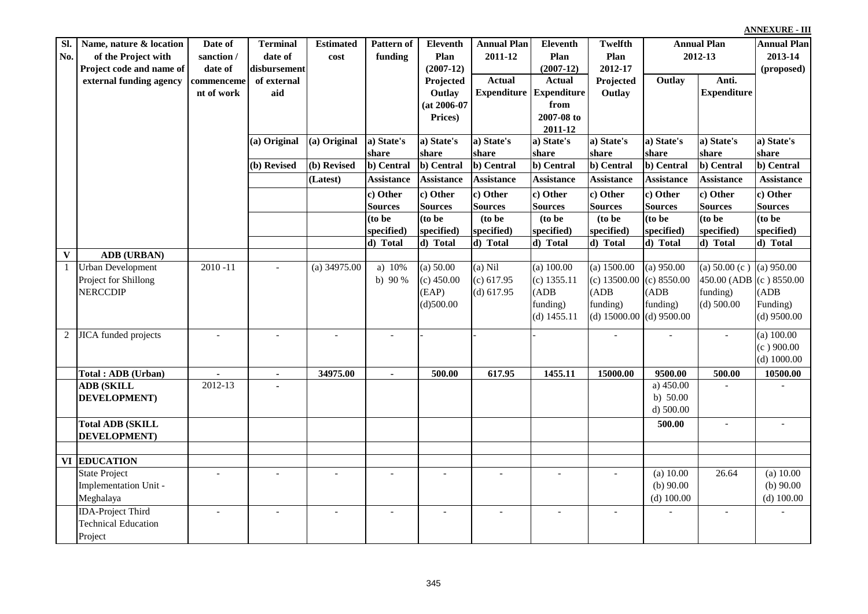| Sl.            | Name, nature & location     | Date of                  | <b>Terminal</b> | <b>Estimated</b> | Pattern of        | Eleventh          | <b>Annual Plan</b> | <b>Eleventh</b>    | <b>Twelfth</b>           | <b>Annual Plan</b> |                              | <b>Annual Plan</b> |
|----------------|-----------------------------|--------------------------|-----------------|------------------|-------------------|-------------------|--------------------|--------------------|--------------------------|--------------------|------------------------------|--------------------|
| No.            | of the Project with         | sanction /               | date of         | cost             | funding           | Plan              | 2011-12            | Plan               | Plan                     | 2012-13            |                              | 2013-14            |
|                | Project code and name of    | date of                  | disbursement    |                  |                   | $(2007-12)$       |                    | $(2007-12)$        | 2012-17                  |                    |                              | (proposed)         |
|                | external funding agency     | commenceme               | of external     |                  |                   | Projected         | <b>Actual</b>      | Actual             | Projected                | Outlay             | Anti.                        |                    |
|                |                             | nt of work               | aid             |                  |                   | Outlay            | <b>Expenditure</b> | <b>Expenditure</b> | Outlay                   |                    | <b>Expenditure</b>           |                    |
|                |                             |                          |                 |                  |                   | $(at 2006-07)$    |                    | from               |                          |                    |                              |                    |
|                |                             |                          |                 |                  |                   | Prices)           |                    | 2007-08 to         |                          |                    |                              |                    |
|                |                             |                          |                 |                  |                   |                   |                    | 2011-12            |                          |                    |                              |                    |
|                |                             |                          | (a) Original    | (a) Original     | a) State's        | a) State's        | a) State's         | a) State's         | a) State's               | a) State's         | a) State's                   | a) State's         |
|                |                             |                          |                 |                  | share             | share             | share              | share              | share                    | share              | share                        | share              |
|                |                             |                          | (b) Revised     | (b) Revised      | b) Central        | b) Central        | b) Central         | b) Central         | b) Central               | b) Central         | b) Central                   | b) Central         |
|                |                             |                          |                 | (Latest)         | <b>Assistance</b> | <b>Assistance</b> | <b>Assistance</b>  | <b>Assistance</b>  | <b>Assistance</b>        | <b>Assistance</b>  | <b>Assistance</b>            | <b>Assistance</b>  |
|                |                             |                          |                 |                  | c) Other          | c) Other          | c) Other           | c) Other           | c) Other                 | c) Other           | c) Other                     | c) Other           |
|                |                             |                          |                 |                  | <b>Sources</b>    | <b>Sources</b>    | <b>Sources</b>     | <b>Sources</b>     | <b>Sources</b>           | <b>Sources</b>     | <b>Sources</b>               | <b>Sources</b>     |
|                |                             |                          |                 |                  | (to be            | (to be            | (to be             | (to be             | (to be                   | (to be             | (to be                       | (to be             |
|                |                             |                          |                 |                  | specified)        | specified)        | specified)         | specified)         | specified)               | specified)         | specified)                   | specified)         |
|                |                             |                          |                 |                  | d) Total          | d) Total          | d) Total           | d) Total           | d) Total                 | d) Total           | d) Total                     | d) Total           |
| $\mathbf{V}$   | <b>ADB</b> (URBAN)          |                          |                 |                  |                   |                   |                    |                    |                          |                    |                              |                    |
| $\mathbf{1}$   | <b>Urban Development</b>    | $2010 - 11$              |                 | (a) $34975.00$   | a) 10%            | (a) 50.00         | $(a)$ Nil          | $(a)$ 100.00       | (a) 1500.00              | $(a)$ 950.00       | (a) $50.00$ (c) (a) $950.00$ |                    |
|                | Project for Shillong        |                          |                 |                  | b) $90%$          | $(c)$ 450.00      | (c) 617.95         | $(c)$ 1355.11      | $(c)$ 13500.00           | (c) 8550.00        | 450.00 (ADB (c) 8550.00      |                    |
|                | <b>NERCCDIP</b>             |                          |                 |                  |                   | (EAP)             | $(d)$ 617.95       | (ADB)              | (ADB)                    | (ADB)              | funding)                     | (ADB)              |
|                |                             |                          |                 |                  |                   | (d)500.00         |                    | funding)           | funding)                 | funding)           | $(d)$ 500.00                 | Funding)           |
|                |                             |                          |                 |                  |                   |                   |                    | (d) $1455.11$      | (d) $15000.00$           | $(d)$ 9500.00      |                              | $(d)$ 9500.00      |
| $\overline{2}$ | <b>JICA</b> funded projects |                          |                 |                  |                   |                   |                    |                    |                          |                    |                              | (a) $100.00$       |
|                |                             |                          |                 |                  |                   |                   |                    |                    |                          |                    |                              | $(c)$ 900.00       |
|                |                             |                          |                 |                  |                   |                   |                    |                    |                          |                    |                              | (d) $1000.00$      |
|                | Total: ADB (Urban)          | $\overline{a}$           | $\blacksquare$  | 34975.00         | $\blacksquare$    | 500.00            | 617.95             | 1455.11            | 15000.00                 | 9500.00            | 500.00                       | 10500.00           |
|                | <b>ADB</b> (SKILL           | $2012 - 13$              |                 |                  |                   |                   |                    |                    |                          | a) $450.00$        |                              |                    |
|                | <b>DEVELOPMENT</b> )        |                          |                 |                  |                   |                   |                    |                    |                          | b) $50.00$         |                              |                    |
|                |                             |                          |                 |                  |                   |                   |                    |                    |                          | $d)$ 500.00        |                              |                    |
|                | <b>Total ADB (SKILL</b>     |                          |                 |                  |                   |                   |                    |                    |                          | 500.00             | $\overline{a}$               |                    |
|                | DEVELOPMENT)                |                          |                 |                  |                   |                   |                    |                    |                          |                    |                              |                    |
|                |                             |                          |                 |                  |                   |                   |                    |                    |                          |                    |                              |                    |
|                | <b>VI EDUCATION</b>         |                          |                 |                  |                   |                   |                    |                    |                          |                    |                              |                    |
|                | <b>State Project</b>        | $\overline{\phantom{a}}$ |                 |                  |                   |                   |                    |                    | $\overline{\phantom{a}}$ | (a) 10.00          | 26.64                        | (a) 10.00          |
|                | Implementation Unit -       |                          |                 |                  |                   |                   |                    |                    |                          | (b) $90.00$        |                              | (b) $90.00$        |
|                | Meghalaya                   |                          |                 |                  |                   |                   |                    |                    |                          | $(d)$ 100.00       |                              | $(d)$ 100.00       |
|                | <b>IDA-Project Third</b>    |                          |                 |                  |                   |                   |                    |                    |                          |                    |                              |                    |
|                | <b>Technical Education</b>  |                          |                 |                  |                   |                   |                    |                    |                          |                    |                              |                    |
|                | Project                     |                          |                 |                  |                   |                   |                    |                    |                          |                    |                              |                    |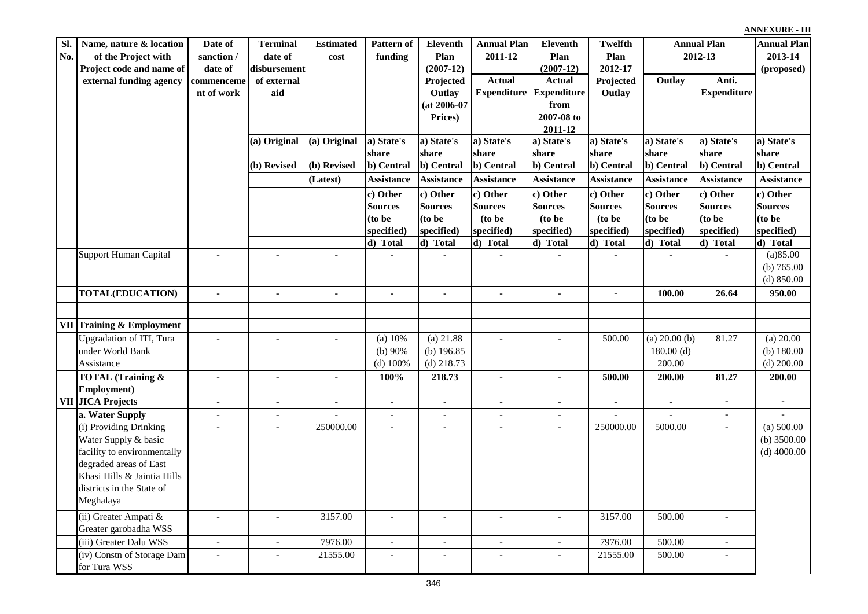| Sl.<br>No. | Name, nature & location<br>of the Project with | Date of<br>sanction /    | <b>Terminal</b><br>date of | <b>Estimated</b><br>cost | Pattern of<br>funding    | <b>Eleventh</b><br>Plan  | <b>Annual Plan</b><br>2011-12 | Eleventh<br>Plan         | Twelfth<br>Plan          | <b>Annual Plan</b><br>2012-13 |                             | <b>Annual Plan</b><br>2013-14 |
|------------|------------------------------------------------|--------------------------|----------------------------|--------------------------|--------------------------|--------------------------|-------------------------------|--------------------------|--------------------------|-------------------------------|-----------------------------|-------------------------------|
|            | Project code and name of                       | date of                  | disbursement               |                          |                          | $(2007-12)$              |                               | $(2007-12)$              | 2012-17                  |                               |                             | (proposed)                    |
|            | external funding agency                        | commenceme               | of external                |                          |                          | Projected                | <b>Actual</b>                 | <b>Actual</b>            | Projected                | Outlay                        | Anti.                       |                               |
|            |                                                | nt of work               | aid                        |                          |                          | Outlay                   | <b>Expenditure</b>            | <b>Expenditure</b>       | Outlay                   |                               | <b>Expenditure</b>          |                               |
|            |                                                |                          |                            |                          |                          | $(at 2006-07)$           |                               | from                     |                          |                               |                             |                               |
|            |                                                |                          |                            |                          |                          | Prices)                  |                               | 2007-08 to               |                          |                               |                             |                               |
|            |                                                |                          |                            |                          |                          |                          |                               | 2011-12                  |                          |                               |                             |                               |
|            |                                                |                          | (a) Original               | (a) Original             | a) State's               | a) State's               | a) State's                    | a) State's               | a) State's               | a) State's                    | a) State's                  | a) State's                    |
|            |                                                |                          | (b) Revised                | (b) Revised              | share<br>b) Central      | share<br>b) Central      | share<br>b) Central           | share<br>b) Central      | share<br>b) Central      | share<br>b) Central           | share<br>b) Central         | share<br>b) Central           |
|            |                                                |                          |                            |                          |                          |                          |                               |                          |                          |                               |                             |                               |
|            |                                                |                          |                            | (Latest)                 | <b>Assistance</b>        | <b>Assistance</b>        | <b>Assistance</b>             | <b>Assistance</b>        | <b>Assistance</b>        | <b>Assistance</b>             | <b>Assistance</b>           | <b>Assistance</b>             |
|            |                                                |                          |                            |                          | c) Other                 | c) Other                 | c) Other                      | c) Other                 | c) Other                 | c) Other                      | c) Other                    | c) Other                      |
|            |                                                |                          |                            |                          | <b>Sources</b>           | <b>Sources</b>           | <b>Sources</b>                | <b>Sources</b>           | <b>Sources</b>           | <b>Sources</b>                | <b>Sources</b>              | <b>Sources</b>                |
|            |                                                |                          |                            |                          | (to be                   | (to be                   | (to be                        | (to be                   | (to be                   | (to be                        | (to be                      | (to be                        |
|            |                                                |                          |                            |                          | specified)               | specified)               | specified)                    | specified)               | specified)               | specified)                    | specified)                  | specified)                    |
|            | Support Human Capital                          | $\blacksquare$           |                            | $\sim$                   | d) Total                 | d) Total                 | d) Total                      | $\overline{d}$ ) Total   | d) Total                 | $\overline{d}$ Total          | d) Total                    | d) Total<br>(a)85.00          |
|            |                                                |                          |                            |                          |                          |                          |                               |                          |                          |                               |                             | (b) $765.00$                  |
|            |                                                |                          |                            |                          |                          |                          |                               |                          |                          |                               |                             | $(d)$ 850.00                  |
|            | <b>TOTAL(EDUCATION)</b>                        | $\mathbf{r}$             | $\mathbf{r}$               | $\mathbf{r}$             | $\mathbf{r}$             | $\blacksquare$           | $\mathbf{r}$                  | $\mathbf{r}$             | $\overline{\phantom{a}}$ | 100.00                        | 26.64                       | 950.00                        |
|            |                                                |                          |                            |                          |                          |                          |                               |                          |                          |                               |                             |                               |
|            |                                                |                          |                            |                          |                          |                          |                               |                          |                          |                               |                             |                               |
|            | <b>VII</b> Training & Employment               |                          |                            |                          |                          |                          |                               |                          |                          |                               |                             |                               |
|            | <b>Upgradation of ITI, Tura</b>                |                          |                            |                          | (a) 10%                  | $(a)$ 21.88              | $\overline{a}$                |                          | 500.00                   | (a) $20.00$ (b)               | 81.27                       | (a) 20.00                     |
|            | under World Bank                               |                          |                            |                          | (b) $90\%$               | (b) $196.85$             |                               |                          |                          | 180.00(d)                     |                             | (b) $180.00$                  |
|            | Assistance                                     |                          |                            |                          | (d) $100%$               | $(d)$ 218.73             |                               |                          |                          | 200.00                        |                             | $(d)$ 200.00                  |
|            | <b>TOTAL</b> (Training &                       | $\blacksquare$           | $\blacksquare$             | $\blacksquare$           | 100%                     | 218.73                   | $\blacksquare$                | $\blacksquare$           | 500.00                   | 200.00                        | 81.27                       | 200.00                        |
|            | Employment)                                    |                          |                            |                          |                          |                          |                               |                          |                          |                               |                             |                               |
|            | <b>VII JICA Projects</b>                       | $\blacksquare$           | $\blacksquare$             | $\mathbf{r}$             | $\mathbf{r}$             | $\blacksquare$           | $\blacksquare$                | $\blacksquare$           | $\overline{a}$           | $\blacksquare$                | $\mathbb{Z}^2$              | $\equiv$                      |
|            | a. Water Supply                                | $\blacksquare$           | $\blacksquare$             |                          | $\blacksquare$           | $\sim$                   | $\sim$                        | $\sim$                   |                          | $\blacksquare$                | $\overline{\phantom{a}}$    |                               |
|            | (i) Providing Drinking                         | $\overline{\phantom{0}}$ |                            | 250000.00                | $\overline{a}$           | $\overline{\phantom{a}}$ | $\overline{a}$                | $\overline{a}$           | 250000.00                | 5000.00                       | $\overline{\phantom{a}}$    | (a) 500.00                    |
|            | Water Supply & basic                           |                          |                            |                          |                          |                          |                               |                          |                          |                               |                             | (b) $3500.00$                 |
|            | facility to environmentally                    |                          |                            |                          |                          |                          |                               |                          |                          |                               |                             | $(d)$ 4000.00                 |
|            | degraded areas of East                         |                          |                            |                          |                          |                          |                               |                          |                          |                               |                             |                               |
|            | Khasi Hills & Jaintia Hills                    |                          |                            |                          |                          |                          |                               |                          |                          |                               |                             |                               |
|            | districts in the State of                      |                          |                            |                          |                          |                          |                               |                          |                          |                               |                             |                               |
|            | Meghalaya                                      |                          |                            |                          |                          |                          |                               |                          |                          |                               |                             |                               |
|            | (ii) Greater Ampati &                          | $\blacksquare$           | $\sim$                     | 3157.00                  | $\sim$                   | $\blacksquare$           | $\overline{a}$                | $\overline{a}$           | 3157.00                  | 500.00                        | $\overline{a}$              |                               |
|            | Greater garobadha WSS                          |                          |                            |                          |                          |                          |                               |                          |                          |                               |                             |                               |
|            | (iii) Greater Dalu WSS                         | $\overline{\phantom{a}}$ | $\sim$                     | 7976.00                  | $\overline{\phantom{a}}$ | $\overline{\phantom{a}}$ | $\overline{\phantom{a}}$      | $\overline{\phantom{a}}$ | 7976.00                  | 500.00                        | $\mathcal{L}_{\mathcal{A}}$ |                               |
|            | (iv) Constn of Storage Dam<br>for Tura WSS     |                          |                            | 21555.00                 | $\overline{a}$           |                          | $\overline{\phantom{a}}$      |                          | 21555.00                 | 500.00                        | $\overline{\phantom{0}}$    |                               |
|            |                                                |                          |                            |                          |                          |                          |                               |                          |                          |                               |                             |                               |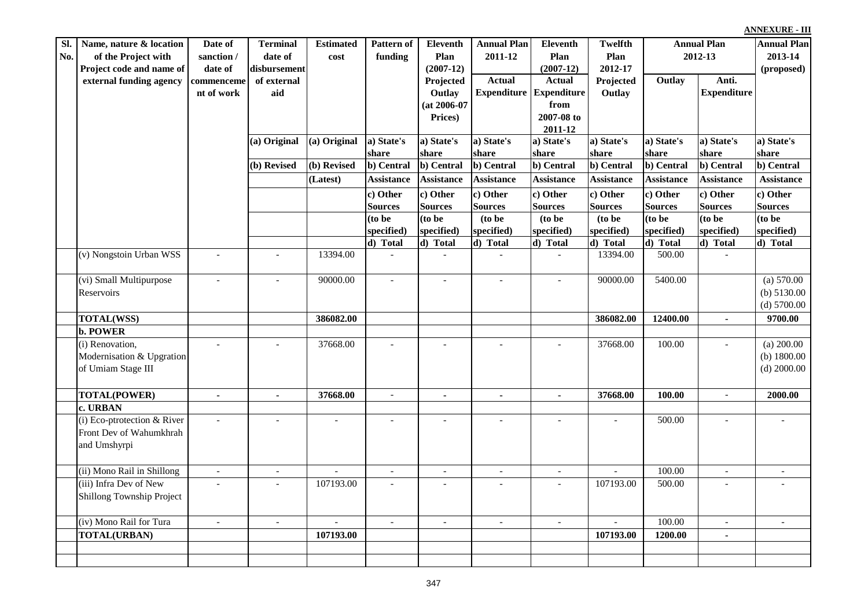| Sl. | Name, nature & location     | Date of                  | <b>Terminal</b>          | <b>Estimated</b>         | Pattern of               | <b>Eleventh</b>          | <b>Annual Plan</b>       | Eleventh                 | <b>Twelfth</b>           |                   | <b>Annual Plan</b>       |                          |
|-----|-----------------------------|--------------------------|--------------------------|--------------------------|--------------------------|--------------------------|--------------------------|--------------------------|--------------------------|-------------------|--------------------------|--------------------------|
| No. | of the Project with         | sanction /               | date of                  | cost                     | funding                  | Plan                     | 2011-12                  | Plan                     | Plan                     | 2012-13           |                          | 2013-14                  |
|     | Project code and name of    | date of                  | disbursement             |                          |                          | $(2007-12)$              |                          | $(2007-12)$              | 2012-17                  |                   |                          | (proposed)               |
|     | external funding agency     | commenceme               | of external              |                          |                          | Projected                | <b>Actual</b>            | <b>Actual</b>            | Projected                | Outlay            | Anti.                    |                          |
|     |                             | nt of work               | aid                      |                          |                          | Outlay                   | <b>Expenditure</b>       | <b>Expenditure</b>       | Outlay                   |                   | <b>Expenditure</b>       |                          |
|     |                             |                          |                          |                          |                          | (at 2006-07              |                          | from                     |                          |                   |                          |                          |
|     |                             |                          |                          |                          |                          | Prices)                  |                          | 2007-08 to               |                          |                   |                          |                          |
|     |                             |                          |                          |                          |                          |                          |                          | 2011-12                  |                          |                   |                          |                          |
|     |                             |                          | (a) Original             | (a) Original             | a) State's               | a) State's               | a) State's               | a) State's               | a) State's               | a) State's        | a) State's               | a) State's               |
|     |                             |                          |                          |                          | share                    | share                    | share                    | share                    | share                    | share             | share                    | share                    |
|     |                             |                          | (b) Revised              | (b) Revised              | b) Central               | b) Central               | b) Central               | b) Central               | b) Central               | b) Central        | b) Central               | b) Central               |
|     |                             |                          |                          | (Latest)                 | <b>Assistance</b>        | <b>Assistance</b>        | <b>Assistance</b>        | <b>Assistance</b>        | <b>Assistance</b>        | <b>Assistance</b> | <b>Assistance</b>        | <b>Assistance</b>        |
|     |                             |                          |                          |                          | c) Other                 | c) Other                 | c) Other                 | c) Other                 | c) Other                 | c) Other          | c) Other                 | c) Other                 |
|     |                             |                          |                          |                          | <b>Sources</b>           | <b>Sources</b>           | Sources                  | <b>Sources</b>           | <b>Sources</b>           | <b>Sources</b>    | <b>Sources</b>           | <b>Sources</b>           |
|     |                             |                          |                          |                          | (to be                   | (to be                   | (to be                   | (to be                   | (to be                   | $\frac{1}{10}$ be | (to be                   | (to be                   |
|     |                             |                          |                          |                          | specified)               | specified)               | specified)               | specified)               | specified)               | specified)        | specified)               | specified)               |
|     |                             |                          |                          |                          | d) Total                 | d) Total                 | d) Total                 | d) Total                 | d) Total                 | d) Total          | d) Total                 | d) Total                 |
|     | (v) Nongstoin Urban WSS     | $\equiv$                 |                          | 13394.00                 |                          |                          | $\mathbb{L}$             | $\overline{a}$           | 13394.00                 | 500.00            | $\overline{\phantom{a}}$ |                          |
|     |                             |                          |                          |                          |                          |                          |                          |                          |                          |                   |                          |                          |
|     | (vi) Small Multipurpose     | $\blacksquare$           |                          | 90000.00                 | $\sim$                   | $\overline{\phantom{a}}$ | $\sim$                   | $\overline{\phantom{a}}$ | 90000.00                 | 5400.00           |                          | (a) 570.00               |
|     | Reservoirs                  |                          |                          |                          |                          |                          |                          |                          |                          |                   |                          | (b) $5130.00$            |
|     |                             |                          |                          |                          |                          |                          |                          |                          |                          |                   |                          | $(d)$ 5700.00            |
|     | <b>TOTAL(WSS)</b>           |                          |                          | 386082.00                |                          |                          |                          |                          | 386082.00                | 12400.00          | $\mathbf{r}$             | 9700.00                  |
|     | <b>b. POWER</b>             |                          |                          |                          |                          |                          |                          |                          |                          |                   |                          |                          |
|     | (i) Renovation,             | $\overline{a}$           |                          | 37668.00                 |                          |                          |                          |                          | 37668.00                 | 100.00            | $\overline{\phantom{a}}$ | (a) $200.00$             |
|     | Modernisation & Upgration   |                          |                          |                          |                          |                          |                          |                          |                          |                   |                          | (b) $1800.00$            |
|     | of Umiam Stage III          |                          |                          |                          |                          |                          |                          |                          |                          |                   |                          | $(d)$ 2000.00            |
|     |                             |                          |                          |                          |                          |                          |                          |                          |                          |                   |                          |                          |
|     | <b>TOTAL(POWER)</b>         | $\blacksquare$           | $\blacksquare$           | 37668.00                 | $\overline{\phantom{a}}$ | $\blacksquare$           | $\blacksquare$           | $\blacksquare$           | 37668.00                 | 100.00            | $\overline{\phantom{a}}$ | 2000.00                  |
|     | c. URBAN                    |                          |                          |                          |                          |                          |                          |                          |                          |                   |                          |                          |
|     | (i) Eco-ptrotection & River | $\overline{a}$           |                          |                          |                          |                          | $\overline{\phantom{a}}$ |                          |                          | 500.00            |                          |                          |
|     | Front Dev of Wahumkhrah     |                          |                          |                          |                          |                          |                          |                          |                          |                   |                          |                          |
|     | and Umshyrpi                |                          |                          |                          |                          |                          |                          |                          |                          |                   |                          |                          |
|     |                             |                          |                          |                          |                          |                          |                          |                          |                          |                   |                          |                          |
|     | (ii) Mono Rail in Shillong  | $\overline{\phantom{a}}$ | $\overline{\phantom{a}}$ |                          | $\overline{a}$           | $\overline{\phantom{a}}$ | $\overline{a}$           | $\overline{\phantom{a}}$ |                          | 100.00            | $\overline{\phantom{a}}$ |                          |
|     | (iii) Infra Dev of New      |                          |                          | 107193.00                |                          |                          |                          |                          | 107193.00                | 500.00            |                          |                          |
|     | Shillong Township Project   |                          |                          |                          |                          |                          |                          |                          |                          |                   |                          |                          |
|     |                             |                          |                          |                          |                          |                          |                          |                          |                          |                   |                          |                          |
|     | (iv) Mono Rail for Tura     | $\blacksquare$           | $\blacksquare$           | $\overline{\phantom{a}}$ | $\overline{\phantom{a}}$ | $\overline{\phantom{a}}$ | $\overline{\phantom{a}}$ | $\overline{\phantom{a}}$ | $\overline{\phantom{a}}$ | 100.00            | $\overline{\phantom{a}}$ | $\overline{\phantom{a}}$ |
|     | <b>TOTAL(URBAN)</b>         |                          |                          | 107193.00                |                          |                          |                          |                          | 107193.00                | 1200.00           | $\blacksquare$           |                          |
|     |                             |                          |                          |                          |                          |                          |                          |                          |                          |                   |                          |                          |
|     |                             |                          |                          |                          |                          |                          |                          |                          |                          |                   |                          |                          |